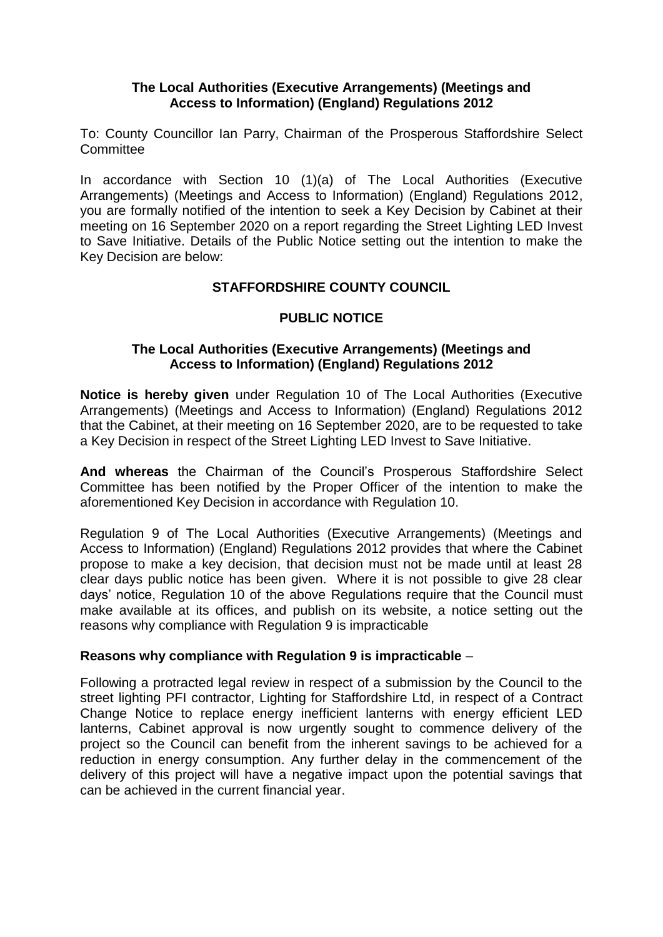### **The Local Authorities (Executive Arrangements) (Meetings and Access to Information) (England) Regulations 2012**

To: County Councillor Ian Parry, Chairman of the Prosperous Staffordshire Select **Committee** 

In accordance with Section 10 (1)(a) of The Local Authorities (Executive Arrangements) (Meetings and Access to Information) (England) Regulations 2012, you are formally notified of the intention to seek a Key Decision by Cabinet at their meeting on 16 September 2020 on a report regarding the Street Lighting LED Invest to Save Initiative. Details of the Public Notice setting out the intention to make the Key Decision are below:

## **STAFFORDSHIRE COUNTY COUNCIL**

# **PUBLIC NOTICE**

### **The Local Authorities (Executive Arrangements) (Meetings and Access to Information) (England) Regulations 2012**

**Notice is hereby given** under Regulation 10 of The Local Authorities (Executive Arrangements) (Meetings and Access to Information) (England) Regulations 2012 that the Cabinet, at their meeting on 16 September 2020, are to be requested to take a Key Decision in respect of the Street Lighting LED Invest to Save Initiative.

**And whereas** the Chairman of the Council's Prosperous Staffordshire Select Committee has been notified by the Proper Officer of the intention to make the aforementioned Key Decision in accordance with Regulation 10.

Regulation 9 of The Local Authorities (Executive Arrangements) (Meetings and Access to Information) (England) Regulations 2012 provides that where the Cabinet propose to make a key decision, that decision must not be made until at least 28 clear days public notice has been given. Where it is not possible to give 28 clear days' notice, Regulation 10 of the above Regulations require that the Council must make available at its offices, and publish on its website, a notice setting out the reasons why compliance with Regulation 9 is impracticable

### **Reasons why compliance with Regulation 9 is impracticable** –

Following a protracted legal review in respect of a submission by the Council to the street lighting PFI contractor, Lighting for Staffordshire Ltd, in respect of a Contract Change Notice to replace energy inefficient lanterns with energy efficient LED lanterns, Cabinet approval is now urgently sought to commence delivery of the project so the Council can benefit from the inherent savings to be achieved for a reduction in energy consumption. Any further delay in the commencement of the delivery of this project will have a negative impact upon the potential savings that can be achieved in the current financial year.